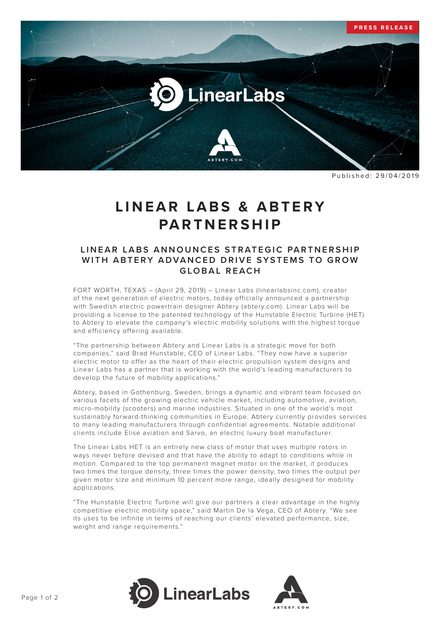

Published: 29/04/2019

## LINEAR LABS & ABTERY **PARTNERSHIP**

## LINEAR LABS ANNOUNCES STRATEGIC PARTNERSHIP WITH ARTERY ADVANCED DRIVE SYSTEMS TO GROW **GLOBAL REACH**

FORT WORTH, TEXAS – (April 29, 2019) – Linear Labs (linearlabsinc.com), creator of the next generation of electric motors, today officially announced a partnership with Swedish electric powertrain designer Abtery (abtery.com). Linear Labs will be providing a license to the patented technology of the Hunstable Electric Turbine (HET) to Abtery to elevate the company's electric mobility solutions with the highest torque and efficiency offering available.

"The partnership between Abtery and Linear Labs is a strategic move for both companies," said Brad Hunstable, CEO of Linear Labs. "They now have a superior electric motor to offer as the heart of their electric propulsion system designs and Linear Labs has a partner that is working with the world's leading manufacturers to develop the future of mobility applications."

Abtery, based in Gothenburg, Sweden, brings a dynamic and vibrant team focused on various facets of the growing electric vehicle market, including automotive, aviation, micro-mobility (scooters) and marine industries. Situated in one of the world's most sustainably forward-thinking communities in Europe. Abtery currently provides services to many leading manufacturers through confidential agreements. Notable additional clients include Elise aviation and Sarvo, an electric luxury boat manufacturer.

The Linear Labs HET is an entirely new class of motor that uses multiple rotors in ways never before devised and that have the ability to adapt to conditions while in motion. Compared to the top permanent magnet motor on the market, it produces two times the torque density, three times the power density, two times the output per given motor size and minimum 10 percent more range, ideally designed for mobility applications.

"The Hunstable Electric Turbine will give our partners a clear advantage in the highly competitive electric mobility space," said Martin De la Vega, CEO of Abtery. "We see its uses to be infinite in terms of reaching our clients' elevated performance, size, weight and range requirements."